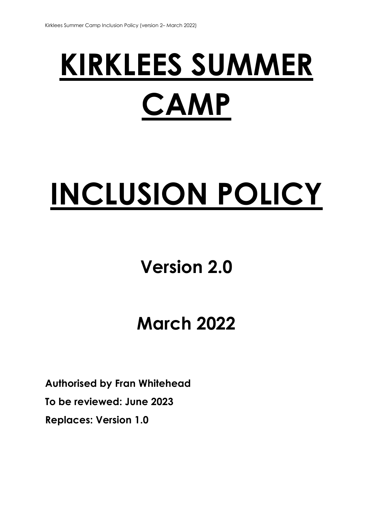# **KIRKLEES SUMMER CAMP**

## **INCLUSION POLICY**

### **Version 2.0**

### **March 2022**

**Authorised by Fran Whitehead To be reviewed: June 2023 Replaces: Version 1.0**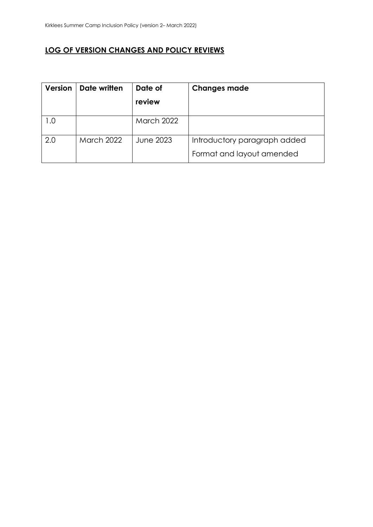#### **LOG OF VERSION CHANGES AND POLICY REVIEWS**

| <b>Version</b> | Date written      | Date of           | <b>Changes made</b>          |
|----------------|-------------------|-------------------|------------------------------|
|                |                   | review            |                              |
| l .O           |                   | <b>March 2022</b> |                              |
| 2.0            | <b>March 2022</b> | June 2023         | Introductory paragraph added |
|                |                   |                   | Format and layout amended    |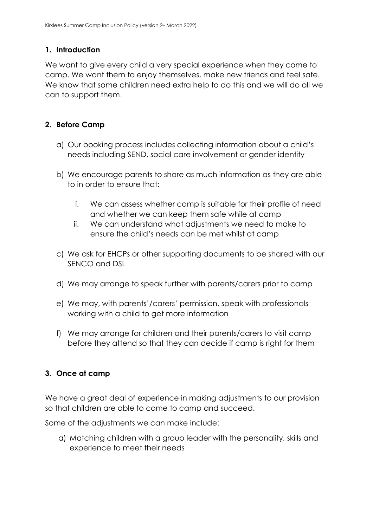#### **1. Introduction**

We want to give every child a very special experience when they come to camp. We want them to enjoy themselves, make new friends and feel safe. We know that some children need extra help to do this and we will do all we can to support them.

#### **2. Before Camp**

- a) Our booking process includes collecting information about a child's needs including SEND, social care involvement or gender identity
- b) We encourage parents to share as much information as they are able to in order to ensure that:
	- i. We can assess whether camp is suitable for their profile of need and whether we can keep them safe while at camp
	- ii. We can understand what adjustments we need to make to ensure the child's needs can be met whilst at camp
- c) We ask for EHCPs or other supporting documents to be shared with our SENCO and DSL
- d) We may arrange to speak further with parents/carers prior to camp
- e) We may, with parents'/carers' permission, speak with professionals working with a child to get more information
- f) We may arrange for children and their parents/carers to visit camp before they attend so that they can decide if camp is right for them

#### **3. Once at camp**

We have a great deal of experience in making adjustments to our provision so that children are able to come to camp and succeed.

Some of the adjustments we can make include:

a) Matching children with a group leader with the personality, skills and experience to meet their needs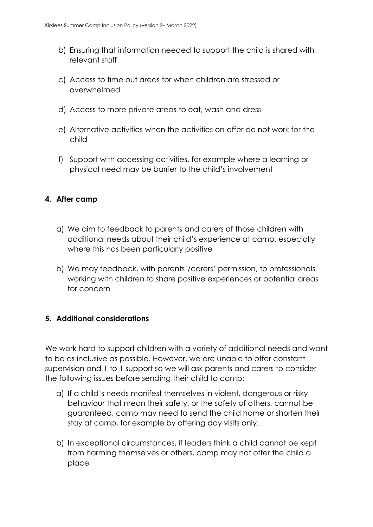- b) Ensuring that information needed to support the child is shared with relevant staff
- c) Access to time out areas for when children are stressed or overwhelmed
- d) Access to more private areas to eat, wash and dress
- e) Alternative activities when the activities on offer do not work for the child
- f) Support with accessing activities, for example where a learning or physical need may be barrier to the child's involvement

#### **4. After camp**

- a) We aim to feedback to parents and carers of those children with additional needs about their child's experience at camp, especially where this has been particularly positive
- b) We may feedback, with parents'/carers' permission, to professionals working with children to share positive experiences or potential areas for concern

#### **5. Additional considerations**

We work hard to support children with a variety of additional needs and want to be as inclusive as possible. However, we are unable to offer constant supervision and 1 to 1 support so we will ask parents and carers to consider the following issues before sending their child to camp:

- a) If a child's needs manifest themselves in violent, dangerous or risky behaviour that mean their safety, or the safety of others, cannot be guaranteed, camp may need to send the child home or shorten their stay at camp, for example by offering day visits only.
- b) In exceptional circumstances, if leaders think a child cannot be kept from harming themselves or others, camp may not offer the child a place